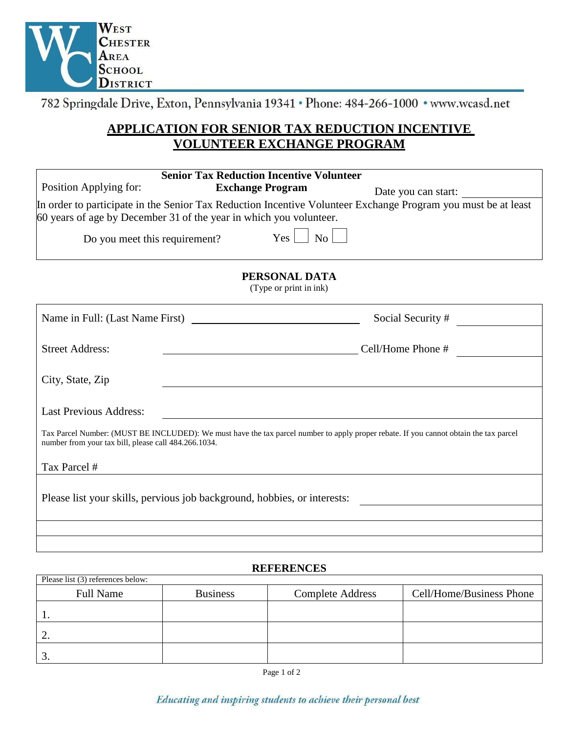

782 Springdale Drive, Exton, Pennsylvania 19341 · Phone: 484-266-1000 · www.wcasd.net

# **APPLICATION FOR SENIOR TAX REDUCTION INCENTIVE VOLUNTEER EXCHANGE PROGRAM**

| Position Applying for:                               | <b>Senior Tax Reduction Incentive Volunteer</b><br><b>Exchange Program</b>                                                            | Date you can start:                                                                                           |
|------------------------------------------------------|---------------------------------------------------------------------------------------------------------------------------------------|---------------------------------------------------------------------------------------------------------------|
|                                                      | 60 years of age by December 31 of the year in which you volunteer.                                                                    | In order to participate in the Senior Tax Reduction Incentive Volunteer Exchange Program you must be at least |
| Do you meet this requirement?                        | Yes<br>No                                                                                                                             |                                                                                                               |
|                                                      | PERSONAL DATA<br>(Type or print in ink)                                                                                               |                                                                                                               |
|                                                      |                                                                                                                                       | Social Security #                                                                                             |
| <b>Street Address:</b>                               |                                                                                                                                       | Cell/Home Phone #                                                                                             |
| City, State, Zip                                     |                                                                                                                                       |                                                                                                               |
| <b>Last Previous Address:</b>                        |                                                                                                                                       |                                                                                                               |
| number from your tax bill, please call 484.266.1034. | Tax Parcel Number: (MUST BE INCLUDED): We must have the tax parcel number to apply proper rebate. If you cannot obtain the tax parcel |                                                                                                               |
| Tax Parcel #                                         |                                                                                                                                       |                                                                                                               |
|                                                      | Please list your skills, pervious job background, hobbies, or interests:                                                              |                                                                                                               |
|                                                      |                                                                                                                                       |                                                                                                               |
|                                                      |                                                                                                                                       |                                                                                                               |
|                                                      |                                                                                                                                       |                                                                                                               |

## **REFERENCES**

| Please list (3) references below: |                 |                         |                          |
|-----------------------------------|-----------------|-------------------------|--------------------------|
| <b>Full Name</b>                  | <b>Business</b> | <b>Complete Address</b> | Cell/Home/Business Phone |
|                                   |                 |                         |                          |
| ◠<br>٠.                           |                 |                         |                          |
| ⌒<br>. ب                          |                 |                         |                          |